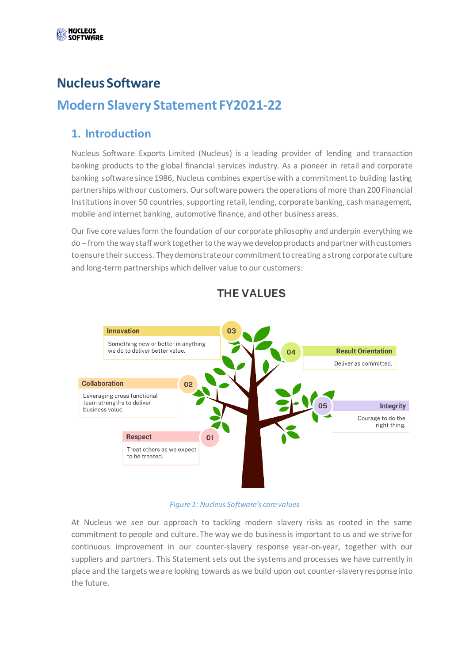

**NUCLEUS** 

### **Nucleus Software**

### **Modern Slavery Statement FY2021-22**

#### **1. Introduction**

Nucleus Software Exports Limited (Nucleus) is a leading provider of lending and transaction banking products to the global financial services industry. As a pioneer in retail and corporate banking software since 1986, Nucleus combines expertise with a commitment to building lasting partnerships with our customers. Our software powers the operations of more than 200 Financial Institutions in over 50 countries, supporting retail, lending, corporate banking, cash management, mobile and internet banking, automotive finance, and other business areas.

Our five core values form the foundation of our corporate philosophy and underpin everything we do – from the way staff work together to the way we develop products and partner with customers to ensure their success. They demonstrate our commitment to creating a strong corporate culture and long-term partnerships which deliver value to our customers:



#### **THE VAI UFS**

#### *Figure 1: Nucleus Software's core values*

At Nucleus we see our approach to tackling modern slavery risks as rooted in the same commitment to people and culture. The way we do business is important to us and we strive for continuous improvement in our counter-slavery response year-on-year, together with our suppliers and partners. This Statement sets out the systems and processes we have currently in place and the targets we are looking towards as we build upon out counter-slavery response into the future.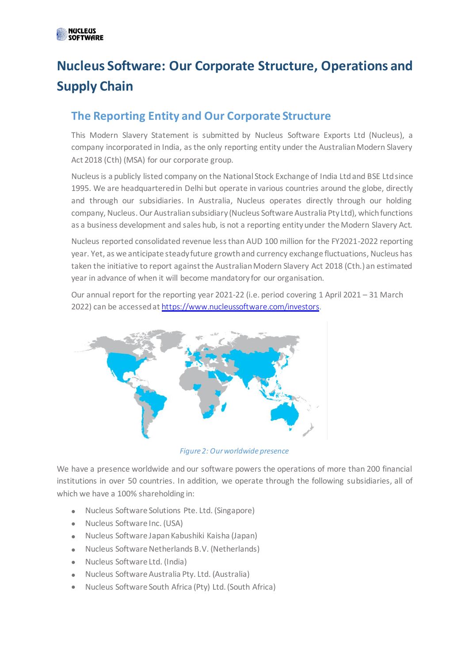# **Nucleus Software: Our Corporate Structure, Operations and Supply Chain**

### **The Reporting Entity and Our Corporate Structure**

This Modern Slavery Statement is submitted by Nucleus Software Exports Ltd (Nucleus), a company incorporated in India, as the only reporting entity under the Australian Modern Slavery Act 2018 (Cth) (MSA) for our corporate group.

Nucleus is a publicly listed company on the National Stock Exchange of India Ltd and BSE Ltd since 1995. We are headquartered in Delhi but operate in various countries around the globe, directly and through our subsidiaries. In Australia, Nucleus operates directly through our holding company, Nucleus. Our Australian subsidiary (Nucleus Software Australia Pty Ltd), which functions as a business development and sales hub, is not a reporting entity under the Modern Slavery Act.

Nucleus reported consolidated revenue less than AUD 100 million for the FY2021-2022 reporting year. Yet, as we anticipate steady future growth and currency exchange fluctuations, Nucleus has taken the initiative to report against the Australian Modern Slavery Act 2018 (Cth.) an estimated year in advance of when it will become mandatory for our organisation.

Our annual report for the reporting year 2021-22 (i.e. period covering 1 April 2021 – 31 March 2022) can be accessed at <https://www.nucleussoftware.com/investors>.



*Figure 2: Our worldwide presence*

We have a presence worldwide and our software powers the operations of more than 200 financial institutions in over 50 countries. In addition, we operate through the following subsidiaries, all of which we have a 100% shareholding in:

- Nucleus Software Solutions Pte. Ltd. (Singapore)
- Nucleus Software Inc. (USA)
- Nucleus Software Japan Kabushiki Kaisha (Japan)
- Nucleus Software Netherlands B.V. (Netherlands)
- Nucleus Software Ltd. (India)
- Nucleus Software Australia Pty. Ltd. (Australia)
- Nucleus Software South Africa (Pty) Ltd.(South Africa)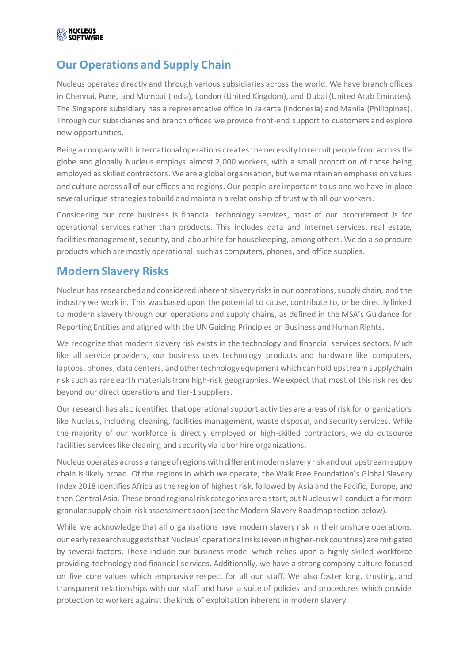

#### **Our Operations and Supply Chain**

Nucleus operates directly and through various subsidiaries across the world. We have branch offices in Chennai, Pune, and Mumbai (India), London (United Kingdom), and Dubai (United Arab Emirates). The Singapore subsidiary has a representative office in Jakarta (Indonesia) and Manila (Philippines). Through our subsidiaries and branch offices we provide front-end support to customers and explore new opportunities.

Being a company with international operations creates the necessity to recruit people from across the globe and globally Nucleus employs almost 2,000 workers, with a small proportion of those being employed as skilled contractors. We are a global organisation, but we maintain an emphasis on values and culture across all of our offices and regions. Our people are important to us and we have in place several unique strategies to build and maintain a relationship of trust with all our workers.

Considering our core business is financial technology services, most of our procurement is for operational services rather than products. This includes data and internet services, real estate, facilities management, security, and labour hire for housekeeping, among others. We do also procure products which are mostly operational, such as computers, phones, and office supplies.

#### **Modern Slavery Risks**

Nucleus has researched and considered inherent slavery risks in our operations, supply chain, and the industry we work in. This was based upon the potential to cause, contribute to, or be directly linked to modern slavery through our operations and supply chains, as defined in the MSA's Guidance for Reporting Entities and aligned with the UN Guiding Principles on Business and Human Rights.

We recognize that modern slavery risk exists in the technology and financial services sectors. Much like all service providers, our business uses technology products and hardware like computers, laptops, phones, data centers, and other technology equipment which can hold upstream supply chain risk such as rare earth materials from high-risk geographies. We expect that most of this risk resides beyond our direct operations and tier-1 suppliers.

Our research has also identified that operational support activities are areas of risk for organizations like Nucleus, including cleaning, facilities management, waste disposal, and security services. While the majority of our workforce is directly employed or high-skilled contractors, we do outsource facilities services like cleaning and security via labor hire organizations.

Nucleus operates across a range of regions with different modern slavery risk and our upstream supply chain is likely broad. Of the regions in which we operate, the Walk Free Foundation's Global Slavery Index 2018 identifies Africa as the region of highest risk, followed by Asia and the Pacific, Europe, and then Central Asia. These broad regional risk categories are a start, but Nucleus will conduct a far more granular supply chain risk assessment soon (see the Modern Slavery Roadmap section below).

While we acknowledge that all organisations have modern slavery risk in their onshore operations, our early research suggests that Nucleus' operational risks (even in higher-risk countries) are mitigated by several factors. These include our business model which relies upon a highly skilled workforce providing technology and financial services. Additionally, we have a strong company culture focused on five core values which emphasise respect for all our staff. We also foster long, trusting, and transparent relationships with our staff and have a suite of policies and procedures which provide protection to workers against the kinds of exploitation inherent in modern slavery.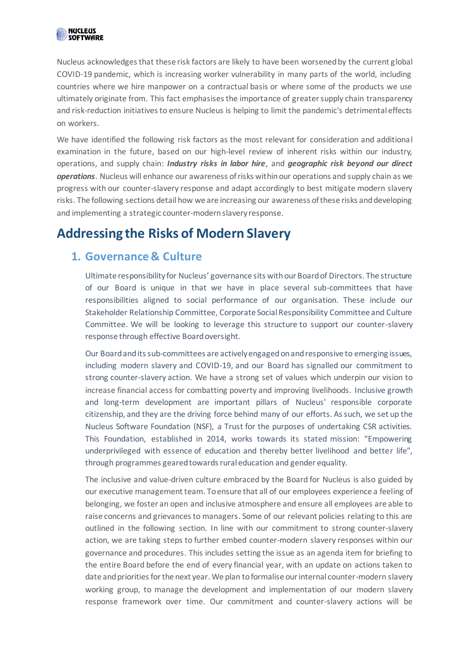Nucleus acknowledgesthat these risk factors are likely to have been worsened by the current global COVID-19 pandemic, which is increasing worker vulnerability in many parts of the world, including countries where we hire manpower on a contractual basis or where some of the products we use ultimately originate from. This fact emphasises the importance of greater supply chain transparency and risk-reduction initiatives to ensure Nucleus is helping to limit the pandemic's detrimental effects on workers.

We have identified the following risk factors as the most relevant for consideration and additional examination in the future, based on our high-level review of inherent risks within our industry, operations, and supply chain: *Industry risks in labor hire*, and *geographic risk beyond our direct operations*. Nucleus will enhance our awareness of risks within our operations and supply chain as we progress with our counter-slavery response and adapt accordingly to best mitigate modern slavery risks. The following sections detail how we are increasing our awareness of these risks and developing and implementing a strategic counter-modern slavery response.

## **Addressing the Risks of Modern Slavery**

#### **1. Governance & Culture**

Ultimate responsibility for Nucleus' governance sits with our Board of Directors. The structure of our Board is unique in that we have in place several sub-committees that have responsibilities aligned to social performance of our organisation. These include our Stakeholder Relationship Committee, Corporate Social Responsibility Committee and Culture Committee. We will be looking to leverage this structure to support our counter-slavery response through effective Board oversight.

Our Board and its sub-committees are actively engaged on and responsive to emerging issues, including modern slavery and COVID-19, and our Board has signalled our commitment to strong counter-slavery action. We have a strong set of values which underpin our vision to increase financial access for combatting poverty and improving livelihoods. Inclusive growth and long-term development are important pillars of Nucleus' responsible corporate citizenship, and they are the driving force behind many of our efforts. As such, we set up the Nucleus Software Foundation (NSF), a Trust for the purposes of undertaking CSR activities. This Foundation, established in 2014, works towards its stated mission: "Empowering underprivileged with essence of education and thereby better livelihood and better life", through programmes geared towards rural education and gender equality.

The inclusive and value-driven culture embraced by the Board for Nucleus is also guided by our executive management team. To ensure that all of our employees experience a feeling of belonging, we foster an open and inclusive atmosphere and ensure all employees are able to raise concerns and grievances to managers. Some of our relevant policies relating to this are outlined in the following section. In line with our commitment to strong counter-slavery action, we are taking steps to further embed counter-modern slavery responses within our governance and procedures. This includes setting the issue as an agenda item for briefing to the entire Board before the end of every financial year, with an update on actions taken to date and priorities for the next year. We plan to formalise our internal counter-modern slavery working group, to manage the development and implementation of our modern slavery response framework over time. Our commitment and counter-slavery actions will be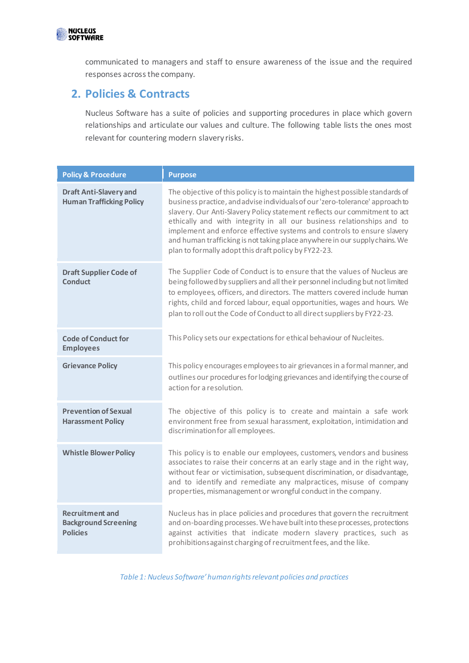

communicated to managers and staff to ensure awareness of the issue and the required responses across the company.

#### **2. Policies & Contracts**

Nucleus Software has a suite of policies and supporting procedures in place which govern relationships and articulate our values and culture. The following table lists the ones most relevant for countering modern slavery risks.

| <b>Policy &amp; Procedure</b>                                            | <b>Purpose</b>                                                                                                                                                                                                                                                                                                                                                                                                                                                                                                                        |
|--------------------------------------------------------------------------|---------------------------------------------------------------------------------------------------------------------------------------------------------------------------------------------------------------------------------------------------------------------------------------------------------------------------------------------------------------------------------------------------------------------------------------------------------------------------------------------------------------------------------------|
| <b>Draft Anti-Slavery and</b><br><b>Human Trafficking Policy</b>         | The objective of this policy is to maintain the highest possible standards of<br>business practice, and advise individuals of our 'zero-tolerance' approach to<br>slavery. Our Anti-Slavery Policy statement reflects our commitment to act<br>ethically and with integrity in all our business relationships and to<br>implement and enforce effective systems and controls to ensure slavery<br>and human trafficking is not taking place anywhere in our supply chains. We<br>plan to formally adopt this draft policy by FY22-23. |
| <b>Draft Supplier Code of</b><br><b>Conduct</b>                          | The Supplier Code of Conduct is to ensure that the values of Nucleus are<br>being followed by suppliers and all their personnel including but not limited<br>to employees, officers, and directors. The matters covered include human<br>rights, child and forced labour, equal opportunities, wages and hours. We<br>plan to roll out the Code of Conduct to all direct suppliers by FY22-23.                                                                                                                                        |
| <b>Code of Conduct for</b><br><b>Employees</b>                           | This Policy sets our expectations for ethical behaviour of Nucleites.                                                                                                                                                                                                                                                                                                                                                                                                                                                                 |
| <b>Grievance Policy</b>                                                  | This policy encourages employees to air grievances in a formal manner, and<br>outlines our procedures for lodging grievances and identifying the course of<br>action for a resolution.                                                                                                                                                                                                                                                                                                                                                |
| <b>Prevention of Sexual</b><br><b>Harassment Policy</b>                  | The objective of this policy is to create and maintain a safe work<br>environment free from sexual harassment, exploitation, intimidation and<br>discrimination for all employees.                                                                                                                                                                                                                                                                                                                                                    |
| <b>Whistle Blower Policy</b>                                             | This policy is to enable our employees, customers, vendors and business<br>associates to raise their concerns at an early stage and in the right way,<br>without fear or victimisation, subsequent discrimination, or disadvantage,<br>and to identify and remediate any malpractices, misuse of company<br>properties, mismanagement or wrongful conduct in the company.                                                                                                                                                             |
| <b>Recruitment and</b><br><b>Background Screening</b><br><b>Policies</b> | Nucleus has in place policies and procedures that govern the recruitment<br>and on-boarding processes. We have built into these processes, protections<br>against activities that indicate modern slavery practices, such as<br>prohibitions against charging of recruitment fees, and the like.                                                                                                                                                                                                                                      |

*Table 1: Nucleus Software' human rights relevant policies and practices*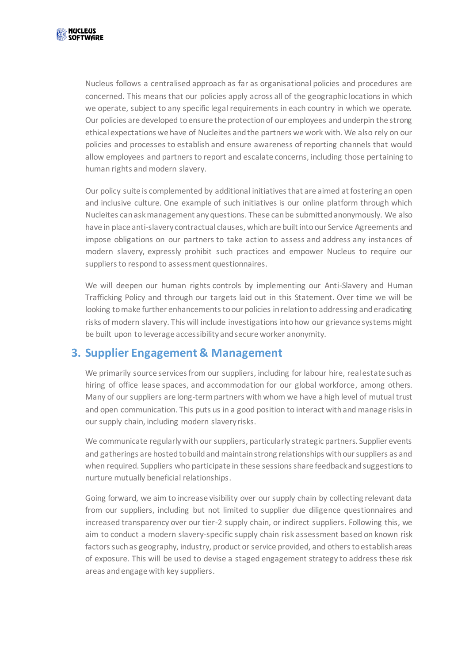

Nucleus follows a centralised approach as far as organisational policies and procedures are concerned. This means that our policies apply across all of the geographic locations in which we operate, subject to any specific legal requirements in each country in which we operate. Our policies are developed to ensure the protection of our employees and underpin the strong ethical expectations we have of Nucleites and the partners we work with. We also rely on our policies and processes to establish and ensure awareness of reporting channels that would allow employees and partners to report and escalate concerns, including those pertaining to human rights and modern slavery.

Our policy suite is complemented by additional initiatives that are aimed at fostering an open and inclusive culture. One example of such initiatives is our online platform through which Nucleites can ask management any questions. These can be submitted anonymously. We also have in place anti-slavery contractual clauses, which are built into our Service Agreements and impose obligations on our partners to take action to assess and address any instances of modern slavery, expressly prohibit such practices and empower Nucleus to require our suppliers to respond to assessment questionnaires.

We will deepen our human rights controls by implementing our Anti-Slavery and Human Trafficking Policy and through our targets laid out in this Statement. Over time we will be looking to make further enhancements to our policies in relation to addressing and eradicating risks of modern slavery. This will include investigations into how our grievance systems might be built upon to leverage accessibility and secure worker anonymity.

#### **3. Supplier Engagement & Management**

We primarily source services from our suppliers, including for labour hire, real estate such as hiring of office lease spaces, and accommodation for our global workforce, among others. Many of our suppliers are long-term partners with whom we have a high level of mutual trust and open communication. This puts us in a good position to interact with and manage risks in our supply chain, including modern slavery risks.

We communicate regularly with our suppliers, particularly strategic partners. Supplier events and gatherings are hosted to build and maintain strong relationships with our suppliers as and when required. Suppliers who participate in these sessions share feedback and suggestions to nurture mutually beneficial relationships.

Going forward, we aim to increase visibility over our supply chain by collecting relevant data from our suppliers, including but not limited to supplier due diligence questionnaires and increased transparency over our tier-2 supply chain, or indirect suppliers. Following this, we aim to conduct a modern slavery-specific supply chain risk assessment based on known risk factors such as geography, industry, product or service provided, and others to establish areas of exposure. This will be used to devise a staged engagement strategy to address these risk areas and engage with key suppliers.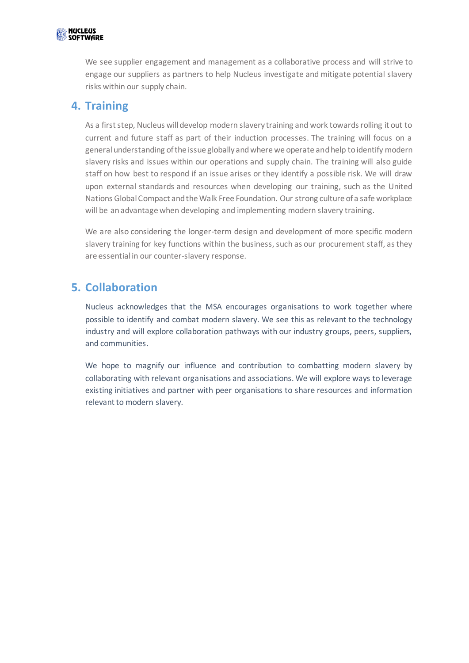

We see supplier engagement and management as a collaborative process and will strive to engage our suppliers as partners to help Nucleus investigate and mitigate potential slavery risks within our supply chain.

#### **4. Training**

As a first step, Nucleus will develop modern slavery training and work towards rolling it out to current and future staff as part of their induction processes. The training will focus on a general understanding of the issue globally and where we operate and help to identify modern slavery risks and issues within our operations and supply chain. The training will also guide staff on how best to respond if an issue arises or they identify a possible risk. We will draw upon external standards and resources when developing our training, such as the United Nations Global Compact and the Walk Free Foundation. Our strong culture of a safe workplace will be an advantage when developing and implementing modern slavery training.

We are also considering the longer-term design and development of more specific modern slavery training for key functions within the business, such as our procurement staff, as they are essential in our counter-slavery response.

#### **5. Collaboration**

Nucleus acknowledges that the MSA encourages organisations to work together where possible to identify and combat modern slavery. We see this as relevant to the technology industry and will explore collaboration pathways with our industry groups, peers, suppliers, and communities.

We hope to magnify our influence and contribution to combatting modern slavery by collaborating with relevant organisations and associations. We will explore ways to leverage existing initiatives and partner with peer organisations to share resources and information relevant to modern slavery.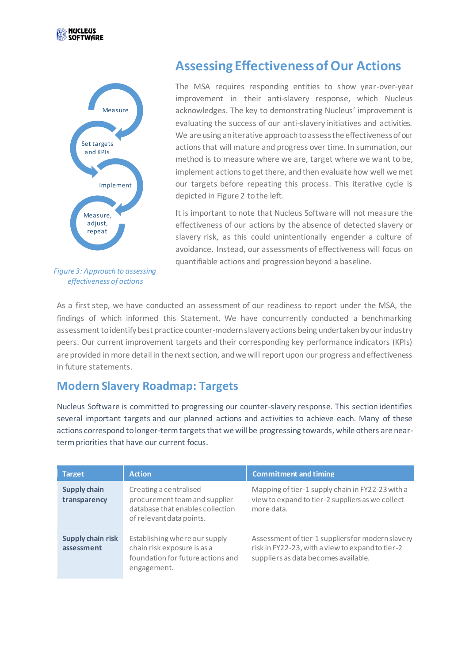



*Figure 3: Approach to assessing effectiveness of actions*

## **Assessing Effectiveness of Our Actions**

The MSA requires responding entities to show year-over-year improvement in their anti-slavery response, which Nucleus acknowledges. The key to demonstrating Nucleus' improvement is evaluating the success of our anti-slavery initiatives and activities. We are using an iterative approach to assess the effectiveness of our actions that will mature and progress over time. In summation, our method is to measure where we are, target where we want to be, implement actions to get there, and then evaluate how well we met our targets before repeating this process. This iterative cycle is depicted in Figure 2 to the left.

It is important to note that Nucleus Software will not measure the effectiveness of our actions by the absence of detected slavery or slavery risk, as this could unintentionally engender a culture of avoidance. Instead, our assessments of effectiveness will focus on quantifiable actions and progression beyond a baseline.

As a first step, we have conducted an assessment of our readiness to report under the MSA, the findings of which informed this Statement. We have concurrently conducted a benchmarking assessment to identify best practice counter-modern slavery actions being undertaken by our industry peers. Our current improvement targets and their corresponding key performance indicators (KPIs) are provided in more detail in the next section, and we will report upon our progress and effectiveness in future statements.

#### **Modern Slavery Roadmap: Targets**

Nucleus Software is committed to progressing our counter-slavery response. This section identifies several important targets and our planned actions and activities to achieve each. Many of these actions correspond to longer-term targets that we will be progressing towards, while others are nearterm priorities that have our current focus.

| <b>Target</b>                          | <b>Action</b>                                                                                                           | <b>Commitment and timing</b>                                                                                                                  |
|----------------------------------------|-------------------------------------------------------------------------------------------------------------------------|-----------------------------------------------------------------------------------------------------------------------------------------------|
| <b>Supply chain</b><br>transparency    | Creating a centralised<br>procurement team and supplier<br>database that enables collection<br>of relevant data points. | Mapping of tier-1 supply chain in FY22-23 with a<br>view to expand to tier-2 suppliers as we collect<br>more data.                            |
| <b>Supply chain risk</b><br>assessment | Establishing where our supply<br>chain risk exposure is as a<br>foundation for future actions and<br>engagement.        | Assessment of tier-1 suppliers for modern slavery<br>risk in FY22-23, with a view to expand to tier-2<br>suppliers as data becomes available. |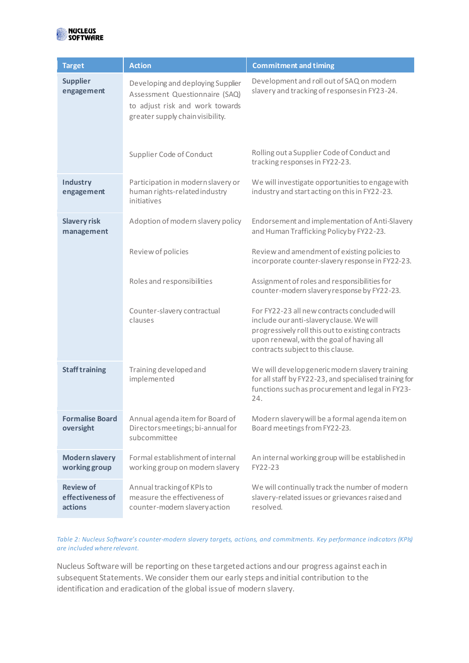

| <b>Target</b>                                   | <b>Action</b>                                                                                                                              | <b>Commitment and timing</b>                                                                                                                                                                                                    |
|-------------------------------------------------|--------------------------------------------------------------------------------------------------------------------------------------------|---------------------------------------------------------------------------------------------------------------------------------------------------------------------------------------------------------------------------------|
| <b>Supplier</b><br>engagement                   | Developing and deploying Supplier<br>Assessment Questionnaire (SAQ)<br>to adjust risk and work towards<br>greater supply chain visibility. | Development and roll out of SAQ on modern<br>slavery and tracking of responses in FY23-24.                                                                                                                                      |
|                                                 | Supplier Code of Conduct                                                                                                                   | Rolling out a Supplier Code of Conduct and<br>tracking responses in FY22-23.                                                                                                                                                    |
| Industry<br>engagement                          | Participation in modern slavery or<br>human rights-related industry<br>initiatives                                                         | We will investigate opportunities to engage with<br>industry and start acting on this in FY22-23.                                                                                                                               |
| <b>Slavery risk</b><br>management               | Adoption of modern slavery policy                                                                                                          | Endorsement and implementation of Anti-Slavery<br>and Human Trafficking Policy by FY22-23.                                                                                                                                      |
|                                                 | Review of policies                                                                                                                         | Review and amendment of existing policies to<br>incorporate counter-slavery response in FY22-23.                                                                                                                                |
|                                                 | Roles and responsibilities                                                                                                                 | Assignment of roles and responsibilities for<br>counter-modern slavery response by FY22-23.                                                                                                                                     |
|                                                 | Counter-slavery contractual<br>clauses                                                                                                     | For FY22-23 all new contracts concluded will<br>include our anti-slavery clause. We will<br>progressively roll this out to existing contracts<br>upon renewal, with the goal of having all<br>contracts subject to this clause. |
| <b>Staff training</b>                           | Training developed and<br>implemented                                                                                                      | We will develop generic modern slavery training<br>for all staff by FY22-23, and specialised training for<br>functions such as procurement and legal in FY23-<br>24.                                                            |
| <b>Formalise Board</b><br>oversight             | Annual agenda item for Board of<br>Directors meetings; bi-annual for<br>subcommittee                                                       | Modern slavery will be a formal agenda item on<br>Board meetings from FY22-23.                                                                                                                                                  |
| <b>Modern slavery</b><br>working group          | Formal establishment of internal<br>working group on modern slavery                                                                        | An internal working group will be established in<br>FY22-23                                                                                                                                                                     |
| <b>Review of</b><br>effectiveness of<br>actions | Annual tracking of KPIs to<br>measure the effectiveness of<br>counter-modern slavery action                                                | We will continually track the number of modern<br>slavery-related issues or grievances raised and<br>resolved.                                                                                                                  |

*Table 2: Nucleus Software's counter-modern slavery targets, actions, and commitments. Key performance indicators (KPIs) are included where relevant.* 

Nucleus Software will be reporting on these targeted actions and our progress against each in subsequent Statements. We consider them our early steps and initial contribution to the identification and eradication of the global issue of modern slavery.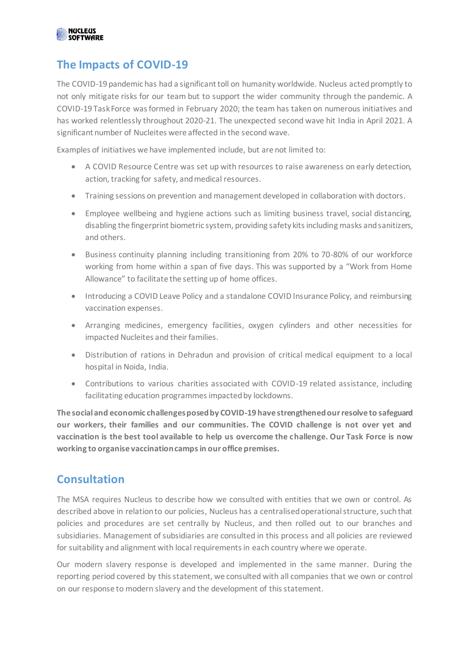

#### **The Impacts of COVID-19**

The COVID-19 pandemic has had a significant toll on humanity worldwide. Nucleus acted promptly to not only mitigate risks for our team but to support the wider community through the pandemic. A COVID-19 Task Force was formed in February 2020; the team has taken on numerous initiatives and has worked relentlessly throughout 2020-21. The unexpected second wave hit India in April 2021. A significant number of Nucleites were affected in the second wave.

Examples of initiatives we have implemented include, but are not limited to:

- A COVID Resource Centre was set up with resources to raise awareness on early detection, action, tracking for safety, and medical resources.
- Training sessions on prevention and management developed in collaboration with doctors.
- Employee wellbeing and hygiene actions such as limiting business travel, social distancing, disabling the fingerprint biometric system, providing safety kits including masks and sanitizers, and others.
- Business continuity planning including transitioning from 20% to 70-80% of our workforce working from home within a span of five days. This was supported by a "Work from Home Allowance" to facilitate the setting up of home offices.
- Introducing a COVID Leave Policy and a standalone COVID Insurance Policy, and reimbursing vaccination expenses.
- Arranging medicines, emergency facilities, oxygen cylinders and other necessities for impacted Nucleites and their families.
- Distribution of rations in Dehradun and provision of critical medical equipment to a local hospital in Noida, India.
- Contributions to various charities associated with COVID-19 related assistance, including facilitating education programmes impacted by lockdowns.

**The social and economic challenges posed by COVID-19 have strengthened our resolve to safeguard our workers, their families and our communities. The COVID challenge is not over yet and vaccination is the best tool available to help us overcome the challenge. Our Task Force is now working to organise vaccination camps in our office premises.**

#### **Consultation**

The MSA requires Nucleus to describe how we consulted with entities that we own or control. As described above in relation to our policies, Nucleus has a centralised operational structure, such that policies and procedures are set centrally by Nucleus, and then rolled out to our branches and subsidiaries. Management of subsidiaries are consulted in this process and all policies are reviewed for suitability and alignment with local requirements in each country where we operate.

Our modern slavery response is developed and implemented in the same manner. During the reporting period covered by this statement, we consulted with all companies that we own or control on our response to modern slavery and the development of this statement.